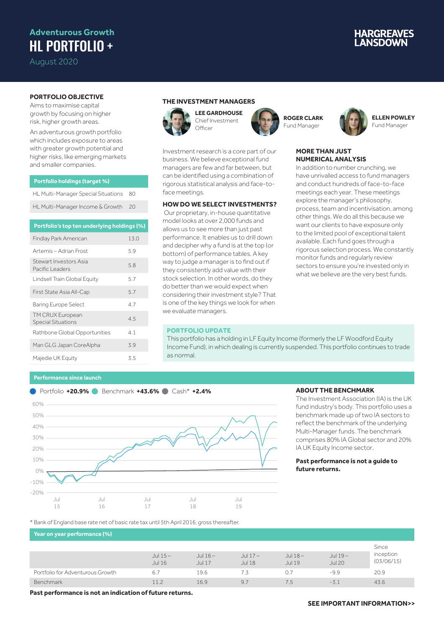## **Adventurous Growth** HL PORTFOLIO +

August 2020

# **IARGREAVES**

### **PORTFOLIO OBJECTIVE**

Aims to maximise capital growth by focusing on higher risk, higher growth areas.

An adventurous growth portfolio which includes exposure to areas with greater growth potential and higher risks, like emerging markets and smaller companies.

| <b>Portfolio holdings (target %)</b> |  |
|--------------------------------------|--|
|                                      |  |
|                                      |  |

| HL Multi-Manager Special Situations 80 |  |
|----------------------------------------|--|
| HL Multi-Manager Income & Growth 20    |  |

#### **Portfolio's top ten underlying holdings (%)**

| <b>Findlay Park American</b>                  | 13.0 |
|-----------------------------------------------|------|
| Artemis – Adrian Frost                        | 5.9  |
| Stewart Investors Asia<br>Pacific Leaders     | 5.8  |
| Lindsell Train Global Equity                  | 5.7  |
| First State Asia All-Cap                      | 5.7  |
| <b>Baring Europe Select</b>                   | 47   |
| TM CRUX European<br><b>Special Situations</b> | 4.5  |
| Rathbone Global Opportunities                 | 4.1  |
| Man GLG Japan CoreAlpha                       | 3.9  |
| Majedie UK Equity                             | 3.5  |

#### **THE INVESTMENT MANAGERS**

**Officer** 

Investment research is a core part of our business. We believe exceptional fund managers are few and far between, but can be identified using a combination of rigorous statistical analysis and face-to-

**HOW DO WE SELECT INVESTMENTS?** Our proprietary, in-house quantitative model looks at over 2,000 funds and allows us to see more than just past performance. It enables us to drill down and decipher why a fund is at the top (or bottom) of performance tables. A key way to judge a manager is to find out if they consistently add value with their stock selection. In other words, do they do better than we would expect when considering their investment style? That is one of the key things we look for when



face meetings.



**ROGER CLARK** Fund Manager



#### **ELLEN POWLEY** Fund Manager

#### **MORE THAN JUST NUMERICAL ANALYSIS**

In addition to number crunching, we have unrivalled access to fund managers and conduct hundreds of face-to-face meetings each year. These meetings explore the manager's philosophy, process, team and incentivisation, among other things. We do all this because we want our clients to have exposure only to the limited pool of exceptional talent available. Each fund goes through a rigorous selection process. We constantly monitor funds and regularly review sectors to ensure you're invested only in what we believe are the very best funds.

#### **PORTFOLIO UPDATE**

we evaluate managers.

This portfolio has a holding in LF Equity Income (formerly the LF Woodford Equity Income Fund), in which dealing is currently suspended. This portfolio continues to trade as normal.

#### **Performance since launch**



#### **ABOUT THE BENCHMARK**

The Investment Association (IA) is the UK fund industry's body. This portfolio uses a benchmark made up of two IA sectors to reflect the benchmark of the underlying Multi-Manager funds. The benchmark comprises 80% IA Global sector and 20% IA UK Equity Income sector.

#### **Past performance is not a guide to future returns.**

\* Bank of England base rate net of basic rate tax until 5th April 2016, gross thereafter.

**Year on year performance (%)** Jul 15 – Jul 16 – Jul 17 –

|                                  |                            |                            |                            |                            |                           | Since                   |
|----------------------------------|----------------------------|----------------------------|----------------------------|----------------------------|---------------------------|-------------------------|
|                                  | Jul $15-$<br><b>Jul 16</b> | Jul $16-$<br><b>Jul 17</b> | Jul $17-$<br><b>Jul 18</b> | Jul $18-$<br><b>Jul 19</b> | Jul 19 –<br><b>Jul 20</b> | inception<br>(03/06/15) |
| Portfolio for Adventurous Growth | 6.                         | 19.6                       |                            | 0.7                        | $-9.9$                    | 20.9                    |
| <b>Benchmark</b>                 | 112                        | 16.9                       | 9.7                        | 7.5                        | $-3.1$                    | 43.6                    |

**Past performance is not an indication of future returns.**

### **SEE IMPORTANT INFORMATION>>**